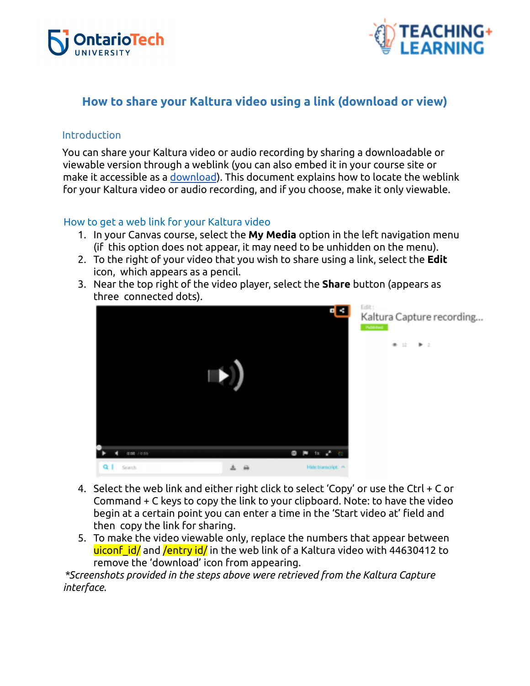



## **How to share your Kaltura video using a link (download or view)**

## Introduction

You can share your Kaltura video or audio recording by sharing a downloadable or viewable version through a weblink (you can also embed it in your course site or make it accessible as a [download](https://docs.google.com/document/d/1QiBKWiZRXK_IEwVEVhBgplqddf3cub3UiCz42IJ8dwc/edit#heading=h.c7jshn34eqsh)). This document explains how to locate the weblink for your Kaltura video or audio recording, and if you choose, make it only viewable.

## How to get a web link for your Kaltura video

- 1. In your Canvas course, select the **My Media** option in the left navigation menu (if this option does not appear, it may need to be unhidden on the menu).
- 2. To the right of your video that you wish to share using a link, select the **Edit** icon, which appears as a pencil.
- 3. Near the top right of the video player, select the **Share** button (appears as three connected dots).



- 4. Select the web link and either right click to select 'Copy' or use the Ctrl + C or Command + C keys to copy the link to your clipboard. Note: to have the video begin at a certain point you can enter a time in the 'Start video at' field and then copy the link for sharing.
- 5. To make the video viewable only, replace the numbers that appear between uiconf id/ and /entry id/ in the web link of a Kaltura video with 44630412 to remove the 'download' icon from appearing.

*\*Screenshots provided in the steps above were retrieved from the Kaltura Capture interface.*